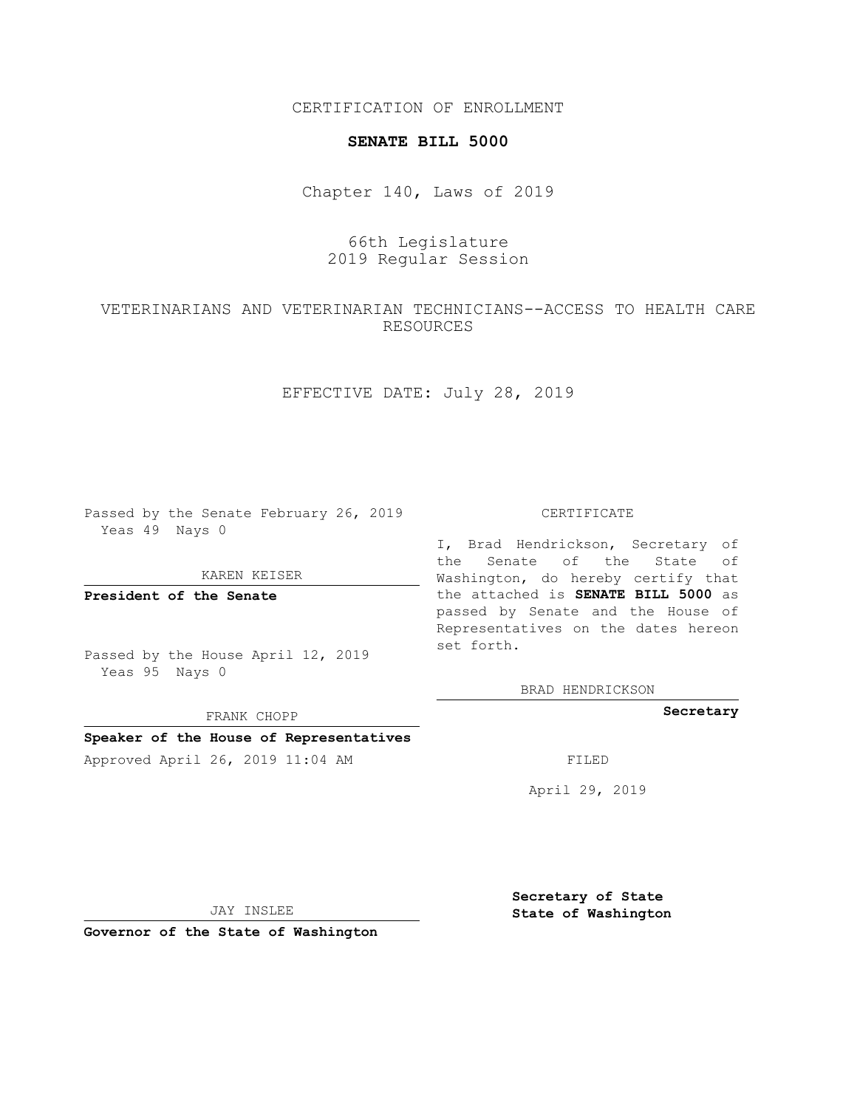CERTIFICATION OF ENROLLMENT

#### **SENATE BILL 5000**

Chapter 140, Laws of 2019

## 66th Legislature 2019 Regular Session

# VETERINARIANS AND VETERINARIAN TECHNICIANS--ACCESS TO HEALTH CARE RESOURCES

## EFFECTIVE DATE: July 28, 2019

Passed by the Senate February 26, 2019 Yeas 49 Nays 0

KAREN KEISER

**President of the Senate**

Passed by the House April 12, 2019 Yeas 95 Nays 0

FRANK CHOPP

### **Speaker of the House of Representatives**

Approved April 26, 2019 11:04 AM FILED

#### CERTIFICATE

I, Brad Hendrickson, Secretary of the Senate of the State of Washington, do hereby certify that the attached is **SENATE BILL 5000** as passed by Senate and the House of Representatives on the dates hereon set forth.

BRAD HENDRICKSON

**Secretary**

April 29, 2019

JAY INSLEE

**Governor of the State of Washington**

**Secretary of State State of Washington**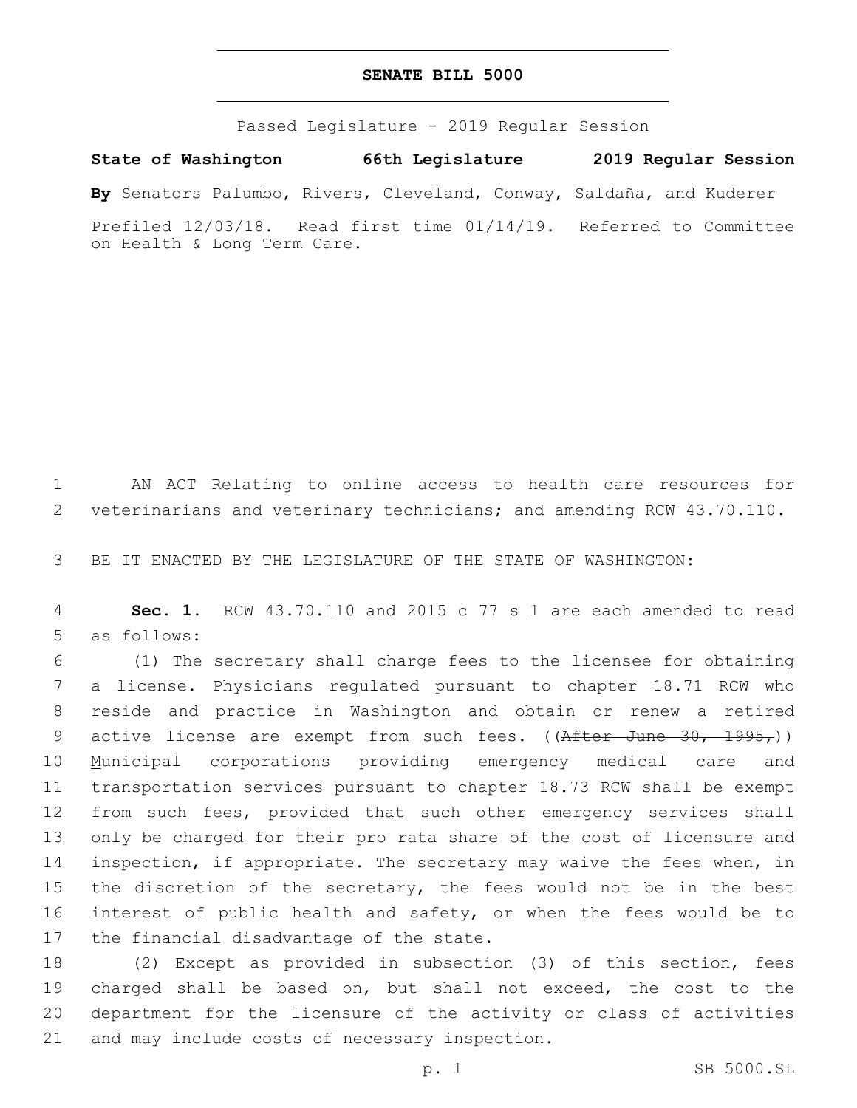### **SENATE BILL 5000**

Passed Legislature - 2019 Regular Session

**State of Washington 66th Legislature 2019 Regular Session**

**By** Senators Palumbo, Rivers, Cleveland, Conway, Saldaña, and Kuderer

Prefiled 12/03/18. Read first time 01/14/19. Referred to Committee on Health & Long Term Care.

1 AN ACT Relating to online access to health care resources for 2 veterinarians and veterinary technicians; and amending RCW 43.70.110.

3 BE IT ENACTED BY THE LEGISLATURE OF THE STATE OF WASHINGTON:

4 **Sec. 1.** RCW 43.70.110 and 2015 c 77 s 1 are each amended to read 5 as follows:

 (1) The secretary shall charge fees to the licensee for obtaining a license. Physicians regulated pursuant to chapter 18.71 RCW who reside and practice in Washington and obtain or renew a retired 9 active license are exempt from such fees. ((After June 30, 1995,)) Municipal corporations providing emergency medical care and transportation services pursuant to chapter 18.73 RCW shall be exempt 12 from such fees, provided that such other emergency services shall only be charged for their pro rata share of the cost of licensure and inspection, if appropriate. The secretary may waive the fees when, in the discretion of the secretary, the fees would not be in the best interest of public health and safety, or when the fees would be to 17 the financial disadvantage of the state.

 (2) Except as provided in subsection (3) of this section, fees charged shall be based on, but shall not exceed, the cost to the department for the licensure of the activity or class of activities 21 and may include costs of necessary inspection.